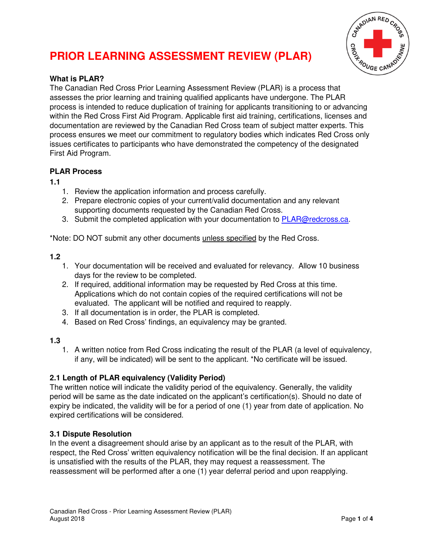# CANADIAN RED **FROUGE CANI**

# **PRIOR LEARNING ASSESSMENT REVIEW (PLAR)**

## **What is PLAR?**

The Canadian Red Cross Prior Learning Assessment Review (PLAR) is a process that assesses the prior learning and training qualified applicants have undergone. The PLAR process is intended to reduce duplication of training for applicants transitioning to or advancing within the Red Cross First Aid Program. Applicable first aid training, certifications, licenses and documentation are reviewed by the Canadian Red Cross team of subject matter experts. This process ensures we meet our commitment to regulatory bodies which indicates Red Cross only issues certificates to participants who have demonstrated the competency of the designated First Aid Program.

### **PLAR Process**

**1.1** 

- 1. Review the application information and process carefully.
- 2. Prepare electronic copies of your current/valid documentation and any relevant supporting documents requested by the Canadian Red Cross.
- 3. Submit the completed application with your documentation to **PLAR@redcross.ca**.

\*Note: DO NOT submit any other documents unless specified by the Red Cross.

#### **1.2**

- 1. Your documentation will be received and evaluated for relevancy. Allow 10 business days for the review to be completed.
- 2. If required, additional information may be requested by Red Cross at this time. Applications which do not contain copies of the required certifications will not be evaluated. The applicant will be notified and required to reapply.
- 3. If all documentation is in order, the PLAR is completed.
- 4. Based on Red Cross' findings, an equivalency may be granted.

#### **1.3**

1. A written notice from Red Cross indicating the result of the PLAR (a level of equivalency, if any, will be indicated) will be sent to the applicant. \*No certificate will be issued.

# **2.1 Length of PLAR equivalency (Validity Period)**

The written notice will indicate the validity period of the equivalency. Generally, the validity period will be same as the date indicated on the applicant's certification(s). Should no date of expiry be indicated, the validity will be for a period of one (1) year from date of application. No expired certifications will be considered.

#### **3.1 Dispute Resolution**

In the event a disagreement should arise by an applicant as to the result of the PLAR, with respect, the Red Cross' written equivalency notification will be the final decision. If an applicant is unsatisfied with the results of the PLAR, they may request a reassessment. The reassessment will be performed after a one (1) year deferral period and upon reapplying.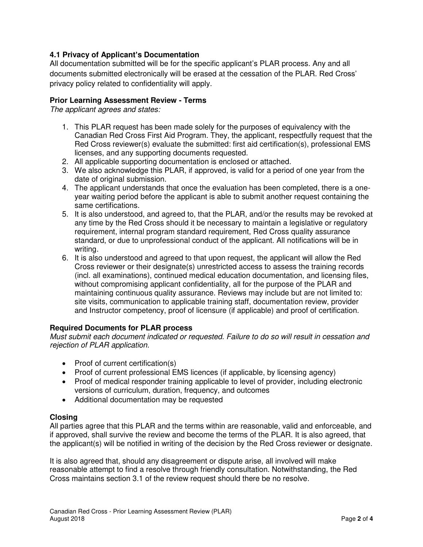#### **4.1 Privacy of Applicant's Documentation**

All documentation submitted will be for the specific applicant's PLAR process. Any and all documents submitted electronically will be erased at the cessation of the PLAR. Red Cross' privacy policy related to confidentiality will apply.

#### **Prior Learning Assessment Review - Terms**

*The applicant agrees and states:* 

- 1. This PLAR request has been made solely for the purposes of equivalency with the Canadian Red Cross First Aid Program. They, the applicant, respectfully request that the Red Cross reviewer(s) evaluate the submitted: first aid certification(s), professional EMS licenses, and any supporting documents requested.
- 2. All applicable supporting documentation is enclosed or attached.
- 3. We also acknowledge this PLAR, if approved, is valid for a period of one year from the date of original submission.
- 4. The applicant understands that once the evaluation has been completed, there is a oneyear waiting period before the applicant is able to submit another request containing the same certifications.
- 5. It is also understood, and agreed to, that the PLAR, and/or the results may be revoked at any time by the Red Cross should it be necessary to maintain a legislative or regulatory requirement, internal program standard requirement, Red Cross quality assurance standard, or due to unprofessional conduct of the applicant. All notifications will be in writing.
- 6. It is also understood and agreed to that upon request, the applicant will allow the Red Cross reviewer or their designate(s) unrestricted access to assess the training records (incl. all examinations), continued medical education documentation, and licensing files, without compromising applicant confidentiality, all for the purpose of the PLAR and maintaining continuous quality assurance. Reviews may include but are not limited to: site visits, communication to applicable training staff, documentation review, provider and Instructor competency, proof of licensure (if applicable) and proof of certification.

#### **Required Documents for PLAR process**

*Must submit each document indicated or requested. Failure to do so will result in cessation and rejection of PLAR application.* 

- Proof of current certification(s)
- Proof of current professional EMS licences (if applicable, by licensing agency)
- Proof of medical responder training applicable to level of provider, including electronic versions of curriculum, duration, frequency, and outcomes
- Additional documentation may be requested

#### **Closing**

All parties agree that this PLAR and the terms within are reasonable, valid and enforceable, and if approved, shall survive the review and become the terms of the PLAR. It is also agreed, that the applicant(s) will be notified in writing of the decision by the Red Cross reviewer or designate.

It is also agreed that, should any disagreement or dispute arise, all involved will make reasonable attempt to find a resolve through friendly consultation. Notwithstanding, the Red Cross maintains section 3.1 of the review request should there be no resolve.